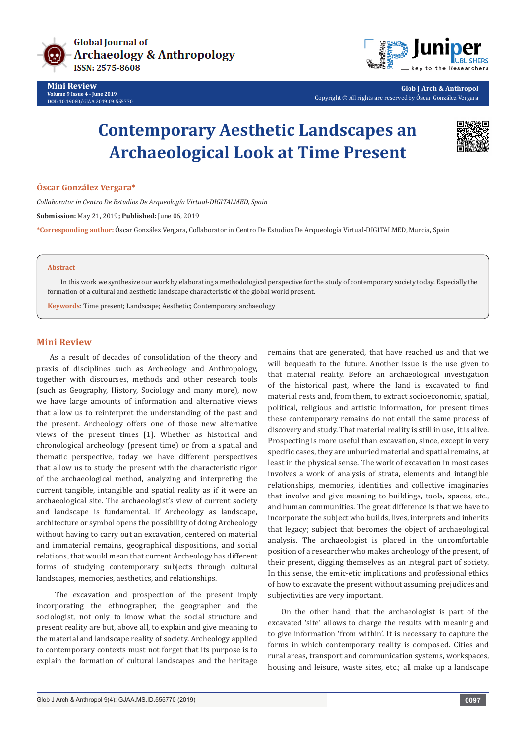



**Glob J Arch & Anthropol** Copyright © All rights are reserved by Óscar González Vergara

# **Contemporary Aesthetic Landscapes an Archaeological Look at Time Present**



#### **Óscar González Vergara\***

*Collaborator in Centro De Estudios De Arqueología Virtual-DIGITALMED, Spain*

**Submission:** May 21, 2019**; Published:** June 06, 2019

**\*Corresponding author:** Óscar González Vergara, Collaborator in Centro De Estudios De Arqueología Virtual-DIGITALMED, Murcia, Spain

#### **Abstract**

In this work we synthesize our work by elaborating a methodological perspective for the study of contemporary society today. Especially the formation of a cultural and aesthetic landscape characteristic of the global world present.

**Keywords**: Time present; Landscape; Aesthetic; Contemporary archaeology

#### **Mini Review**

As a result of decades of consolidation of the theory and praxis of disciplines such as Archeology and Anthropology, together with discourses, methods and other research tools (such as Geography, History, Sociology and many more), now we have large amounts of information and alternative views that allow us to reinterpret the understanding of the past and the present. Archeology offers one of those new alternative views of the present times [1]. Whether as historical and chronological archeology (present time) or from a spatial and thematic perspective, today we have different perspectives that allow us to study the present with the characteristic rigor of the archaeological method, analyzing and interpreting the current tangible, intangible and spatial reality as if it were an archaeological site. The archaeologist's view of current society and landscape is fundamental. If Archeology as landscape, architecture or symbol opens the possibility of doing Archeology without having to carry out an excavation, centered on material and immaterial remains, geographical dispositions, and social relations, that would mean that current Archeology has different forms of studying contemporary subjects through cultural landscapes, memories, aesthetics, and relationships.

 The excavation and prospection of the present imply incorporating the ethnographer, the geographer and the sociologist, not only to know what the social structure and present reality are but, above all, to explain and give meaning to the material and landscape reality of society. Archeology applied to contemporary contexts must not forget that its purpose is to explain the formation of cultural landscapes and the heritage

remains that are generated, that have reached us and that we will bequeath to the future. Another issue is the use given to that material reality. Before an archaeological investigation of the historical past, where the land is excavated to find material rests and, from them, to extract socioeconomic, spatial, political, religious and artistic information, for present times these contemporary remains do not entail the same process of discovery and study. That material reality is still in use, it is alive. Prospecting is more useful than excavation, since, except in very specific cases, they are unburied material and spatial remains, at least in the physical sense. The work of excavation in most cases involves a work of analysis of strata, elements and intangible relationships, memories, identities and collective imaginaries that involve and give meaning to buildings, tools, spaces, etc., and human communities. The great difference is that we have to incorporate the subject who builds, lives, interprets and inherits that legacy; subject that becomes the object of archaeological analysis. The archaeologist is placed in the uncomfortable position of a researcher who makes archeology of the present, of their present, digging themselves as an integral part of society. In this sense, the emic-etic implications and professional ethics of how to excavate the present without assuming prejudices and subjectivities are very important.

On the other hand, that the archaeologist is part of the excavated 'site' allows to charge the results with meaning and to give information 'from within'. It is necessary to capture the forms in which contemporary reality is composed. Cities and rural areas, transport and communication systems, workspaces, housing and leisure, waste sites, etc.; all make up a landscape